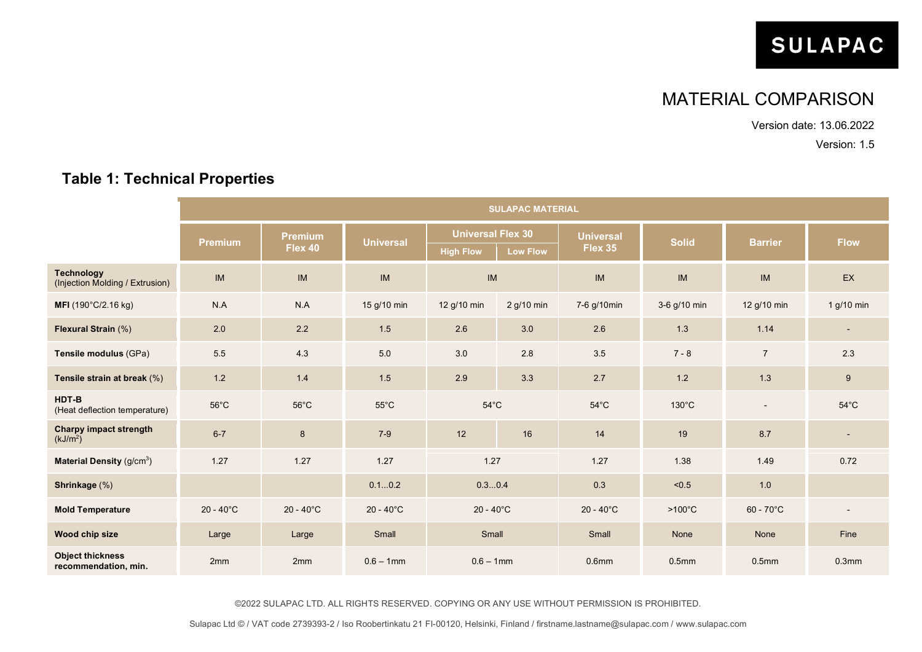# **SULAPAC**

## MATERIAL COMPARISON

Version date: 13.06.2022

Version: 1.5

#### **SULAPAC MATERIAL Premium**<br>**Premium**<br>**Plex 40 Flex 40 Universal Universal Flex 30 Universal Flex 35 Solid Barrier Flow High Flow Low Flow Technology**<br>(Injection Molding / Extrusion) (Injection Molding / Extrusion) IM IM IM IM IM IM IM EX **MFI** (190°C/2.16 kg) N.A N.A 15 g/10 min 12 g/10 min 7-6 g/10min 3-6 g/10 min 12 g/10 min 1 g/10 min **Flexural Strain** (%) 2.0 | 2.2 1.5 2.6 3.0 2.6 1.3 1.14 | -**Tensile modulus** (GPa) 5.5 5 4.3 5.0 3.0 2.8 3.5 7 - 8 7 7 2.3 **Tensile strain at break** (%) **1.2** 1.4 1.5 2.9 3.3 2.7 1.2 1.3 9 **HDT-B** (Heat deflection temperature) 56°C 56°C 55°C 54°C 54°C 130°C - 54°C **Charpy impact strength**  $(kJ/m<sup>2</sup>)$ 6-7 8 7-9 | 12 | 16 | 14 | 19 8.7 | -**Material Density** (g/cm<sup>3</sup>) ) 1.27 1.27 1.27 1.27 1.27 1.38 1.49 0.72 **Shrinkage** (%) 0.1...0.2 0.3...0.4 0.3 <0.5 1.0 **Mold Temperature** 20 - 40°C 20 - 40°C 20 - 40°C 20 - 40°C 20 - 40°C >100°C 60 - 70°C - **Wood chip size** Large Large Small Small Small None None Fine **Object thickness recommendation, min.** 2mm 2mm 0.6 – 1mm 0.6 – 1mm 0.6mm 0.5mm 0.5mm 0.3mm

#### **Table 1: Technical Properties**

©2022 SULAPAC LTD. ALL RIGHTS RESERVED. COPYING OR ANY USE WITHOUT PERMISSION IS PROHIBITED.

Sulapac Ltd © / VAT code 2739393-2 / Iso Roobertinkatu 21 FI-00120, Helsinki, Finland / firstname.lastname@sulapac.com / www.sulapac.com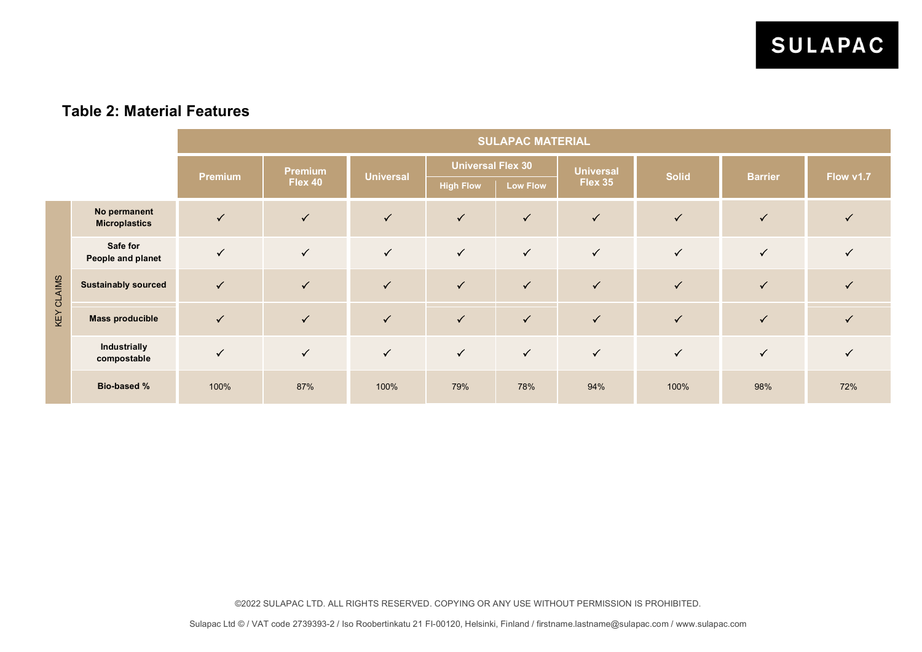### **Table 2: Material Features**

|                   |                                      | <b>SULAPAC MATERIAL</b> |                           |                  |                                              |                 |                             |              |                |              |
|-------------------|--------------------------------------|-------------------------|---------------------------|------------------|----------------------------------------------|-----------------|-----------------------------|--------------|----------------|--------------|
|                   |                                      | <b>Premium</b>          | <b>Premium</b><br>Flex 40 | <b>Universal</b> | <b>Universal Flex 30</b><br><b>High Flow</b> | <b>Low Flow</b> | <b>Universal</b><br>Flex 35 | <b>Solid</b> | <b>Barrier</b> | Flow v1.7    |
| <b>KEY CLAIMS</b> | No permanent<br><b>Microplastics</b> | $\sqrt{}$               | $\checkmark$              | $\sqrt{}$        | $\checkmark$                                 | $\checkmark$    | $\checkmark$                | $\checkmark$ | $\sqrt{}$      | $\checkmark$ |
|                   | Safe for<br>People and planet        | $\sqrt{}$               | $\checkmark$              | $\checkmark$     | $\checkmark$                                 | $\checkmark$    | $\checkmark$                | $\checkmark$ | $\checkmark$   | $\checkmark$ |
|                   | <b>Sustainably sourced</b>           | $\checkmark$            | $\checkmark$              | $\checkmark$     | $\checkmark$                                 | $\checkmark$    | $\checkmark$                | $\checkmark$ | $\checkmark$   |              |
|                   | <b>Mass producible</b>               | $\checkmark$            | $\sqrt{}$                 | $\checkmark$     | $\checkmark$                                 | $\checkmark$    | $\sqrt{}$                   | $\checkmark$ | $\sqrt{}$      |              |
|                   | Industrially<br>compostable          | $\blacktriangledown$    | $\checkmark$              | $\checkmark$     | $\checkmark$                                 | $\checkmark$    | $\sqrt{}$                   | $\checkmark$ | $\checkmark$   | $\checkmark$ |
|                   | <b>Bio-based %</b>                   | 100%                    | 87%                       | 100%             | 79%                                          | 78%             | 94%                         | 100%         | 98%            | 72%          |

©2022 SULAPAC LTD. ALL RIGHTS RESERVED. COPYING OR ANY USE WITHOUT PERMISSION IS PROHIBITED.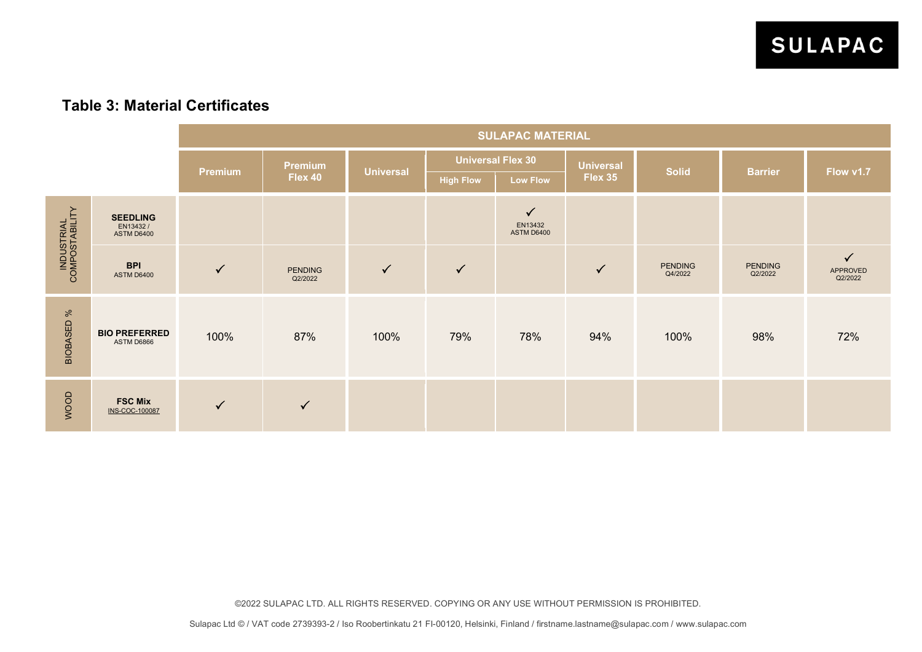#### **Table 3: Material Certificates**

|                              |                                                  | <b>SULAPAC MATERIAL</b> |                           |                  |                          |                                              |                  |                           |                           |                                     |
|------------------------------|--------------------------------------------------|-------------------------|---------------------------|------------------|--------------------------|----------------------------------------------|------------------|---------------------------|---------------------------|-------------------------------------|
|                              |                                                  | <b>Premium</b>          | <b>Premium</b>            | <b>Universal</b> | <b>Universal Flex 30</b> |                                              | <b>Universal</b> | <b>Solid</b>              | <b>Barrier</b>            | Flow v1.7                           |
|                              |                                                  |                         | Flex 40                   |                  | <b>High Flow</b>         | <b>Low Flow</b>                              | Flex 35          |                           |                           |                                     |
| INDUSTRIAL<br>COMPOSTABILITY | <b>SEEDLING</b><br>EN13432/<br><b>ASTM D6400</b> |                         |                           |                  |                          | $\checkmark$<br>EN13432<br><b>ASTM D6400</b> |                  |                           |                           |                                     |
|                              | <b>BPI</b><br><b>ASTM D6400</b>                  | $\checkmark$            | <b>PENDING</b><br>Q2/2022 | $\checkmark$     | $\checkmark$             |                                              | $\checkmark$     | <b>PENDING</b><br>Q4/2022 | <b>PENDING</b><br>Q2/2022 | $\checkmark$<br>APPROVED<br>Q2/2022 |
| <b>BIOBASED %</b>            | <b>BIO PREFERRED</b><br>ASTM D6866               | 100%                    | 87%                       | 100%             | 79%                      | 78%                                          | 94%              | 100%                      | 98%                       | 72%                                 |
| WOOD                         | <b>FSC Mix</b><br>INS-COC-100087                 | $\checkmark$            | $\checkmark$              |                  |                          |                                              |                  |                           |                           |                                     |

©2022 SULAPAC LTD. ALL RIGHTS RESERVED. COPYING OR ANY USE WITHOUT PERMISSION IS PROHIBITED.